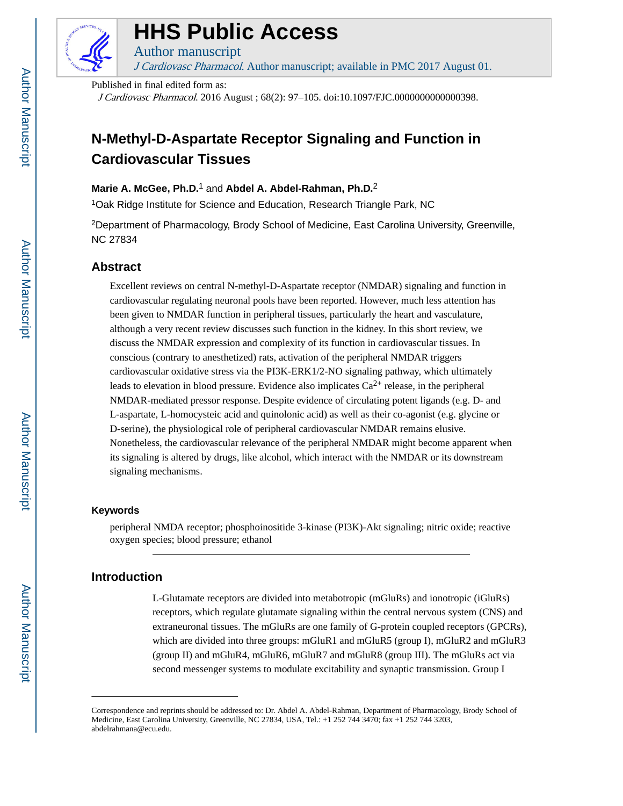

# **HHS Public Access**

J Cardiovasc Pharmacol. Author manuscript; available in PMC 2017 August 01.

Published in final edited form as:

Author manuscript

J Cardiovasc Pharmacol. 2016 August ; 68(2): 97–105. doi:10.1097/FJC.0000000000000398.

## **N-Methyl-D-Aspartate Receptor Signaling and Function in Cardiovascular Tissues**

## **Marie A. McGee, Ph.D.**1 and **Abdel A. Abdel-Rahman, Ph.D.**<sup>2</sup>

<sup>1</sup>Oak Ridge Institute for Science and Education, Research Triangle Park, NC

<sup>2</sup>Department of Pharmacology, Brody School of Medicine, East Carolina University, Greenville, NC 27834

## **Abstract**

Excellent reviews on central N-methyl-D-Aspartate receptor (NMDAR) signaling and function in cardiovascular regulating neuronal pools have been reported. However, much less attention has been given to NMDAR function in peripheral tissues, particularly the heart and vasculature, although a very recent review discusses such function in the kidney. In this short review, we discuss the NMDAR expression and complexity of its function in cardiovascular tissues. In conscious (contrary to anesthetized) rats, activation of the peripheral NMDAR triggers cardiovascular oxidative stress via the PI3K-ERK1/2-NO signaling pathway, which ultimately leads to elevation in blood pressure. Evidence also implicates  $Ca^{2+}$  release, in the peripheral NMDAR-mediated pressor response. Despite evidence of circulating potent ligands (e.g. D- and L-aspartate, L-homocysteic acid and quinolonic acid) as well as their co-agonist (e.g. glycine or D-serine), the physiological role of peripheral cardiovascular NMDAR remains elusive. Nonetheless, the cardiovascular relevance of the peripheral NMDAR might become apparent when its signaling is altered by drugs, like alcohol, which interact with the NMDAR or its downstream signaling mechanisms.

## **Keywords**

peripheral NMDA receptor; phosphoinositide 3-kinase (PI3K)-Akt signaling; nitric oxide; reactive oxygen species; blood pressure; ethanol

## **Introduction**

L-Glutamate receptors are divided into metabotropic (mGluRs) and ionotropic (iGluRs) receptors, which regulate glutamate signaling within the central nervous system (CNS) and extraneuronal tissues. The mGluRs are one family of G-protein coupled receptors (GPCRs), which are divided into three groups: mGluR1 and mGluR5 (group I), mGluR2 and mGluR3 (group II) and mGluR4, mGluR6, mGluR7 and mGluR8 (group III). The mGluRs act via second messenger systems to modulate excitability and synaptic transmission. Group I

Correspondence and reprints should be addressed to: Dr. Abdel A. Abdel-Rahman, Department of Pharmacology, Brody School of Medicine, East Carolina University, Greenville, NC 27834, USA, Tel.: +1 252 744 3470; fax +1 252 744 3203, abdelrahmana@ecu.edu.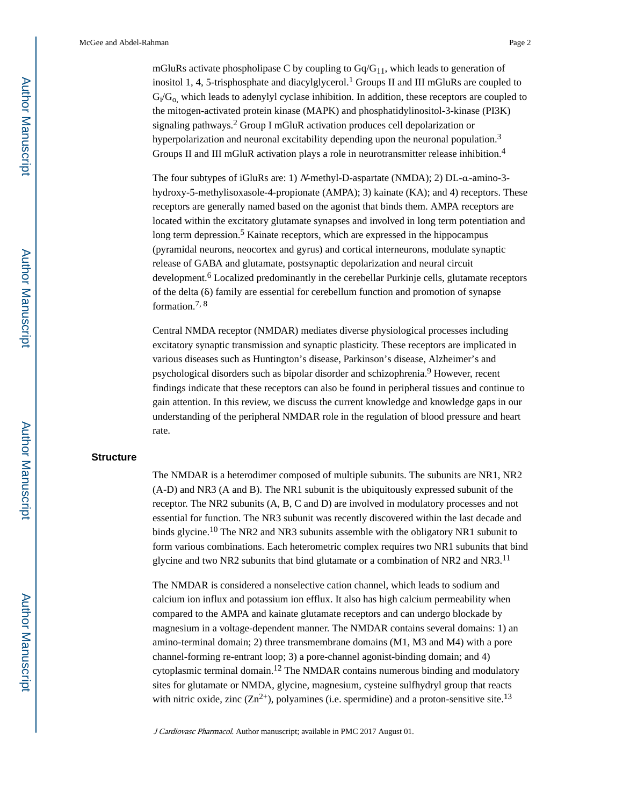mGluRs activate phospholipase C by coupling to  $Gq/G_{11}$ , which leads to generation of inositol 1, 4, 5-trisphosphate and diacylglycerol.<sup>1</sup> Groups II and III mGluRs are coupled to  $G_i/G_{o}$ , which leads to adenylyl cyclase inhibition. In addition, these receptors are coupled to the mitogen-activated protein kinase (MAPK) and phosphatidylinositol-3-kinase (PI3K) signaling pathways.<sup>2</sup> Group I mGluR activation produces cell depolarization or hyperpolarization and neuronal excitability depending upon the neuronal population.<sup>3</sup> Groups II and III mGluR activation plays a role in neurotransmitter release inhibition.<sup>4</sup>

The four subtypes of iGluRs are: 1) N-methyl-D-aspartate (NMDA); 2) DL-α-amino-3 hydroxy-5-methylisoxasole-4-propionate (AMPA); 3) kainate (KA); and 4) receptors. These receptors are generally named based on the agonist that binds them. AMPA receptors are located within the excitatory glutamate synapses and involved in long term potentiation and long term depression.<sup>5</sup> Kainate receptors, which are expressed in the hippocampus (pyramidal neurons, neocortex and gyrus) and cortical interneurons, modulate synaptic release of GABA and glutamate, postsynaptic depolarization and neural circuit development.<sup>6</sup> Localized predominantly in the cerebellar Purkinje cells, glutamate receptors of the delta (δ) family are essential for cerebellum function and promotion of synapse formation.7, 8

Central NMDA receptor (NMDAR) mediates diverse physiological processes including excitatory synaptic transmission and synaptic plasticity. These receptors are implicated in various diseases such as Huntington's disease, Parkinson's disease, Alzheimer's and psychological disorders such as bipolar disorder and schizophrenia.<sup>9</sup> However, recent findings indicate that these receptors can also be found in peripheral tissues and continue to gain attention. In this review, we discuss the current knowledge and knowledge gaps in our understanding of the peripheral NMDAR role in the regulation of blood pressure and heart rate.

#### **Structure**

The NMDAR is a heterodimer composed of multiple subunits. The subunits are NR1, NR2 (A-D) and NR3 (A and B). The NR1 subunit is the ubiquitously expressed subunit of the receptor. The NR2 subunits (A, B, C and D) are involved in modulatory processes and not essential for function. The NR3 subunit was recently discovered within the last decade and binds glycine.10 The NR2 and NR3 subunits assemble with the obligatory NR1 subunit to form various combinations. Each heterometric complex requires two NR1 subunits that bind glycine and two NR2 subunits that bind glutamate or a combination of NR2 and NR3.<sup>11</sup>

The NMDAR is considered a nonselective cation channel, which leads to sodium and calcium ion influx and potassium ion efflux. It also has high calcium permeability when compared to the AMPA and kainate glutamate receptors and can undergo blockade by magnesium in a voltage-dependent manner. The NMDAR contains several domains: 1) an amino-terminal domain; 2) three transmembrane domains (M1, M3 and M4) with a pore channel-forming re-entrant loop; 3) a pore-channel agonist-binding domain; and 4) cytoplasmic terminal domain.<sup>12</sup> The NMDAR contains numerous binding and modulatory sites for glutamate or NMDA, glycine, magnesium, cysteine sulfhydryl group that reacts with nitric oxide, zinc  $(Zn^{2+})$ , polyamines (i.e. spermidine) and a proton-sensitive site.<sup>13</sup>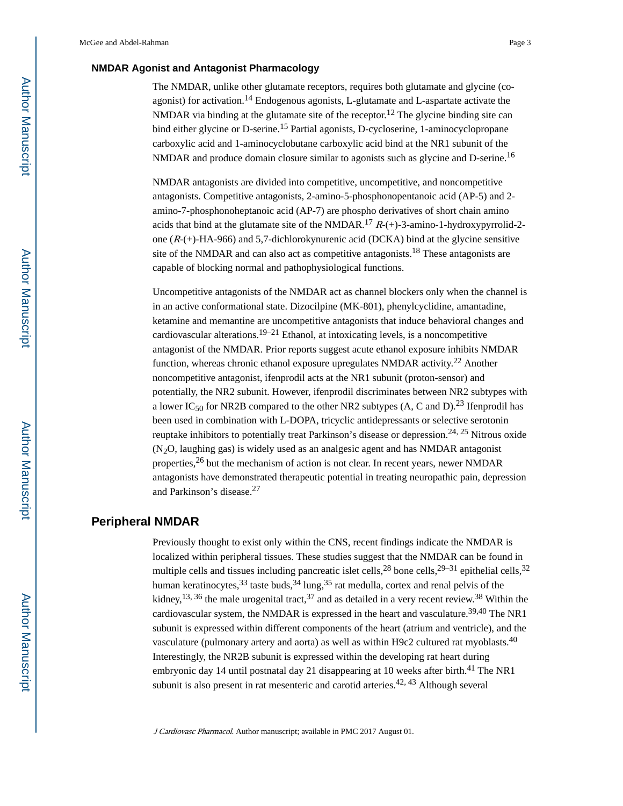#### **NMDAR Agonist and Antagonist Pharmacology**

The NMDAR, unlike other glutamate receptors, requires both glutamate and glycine (coagonist) for activation.<sup>14</sup> Endogenous agonists, L-glutamate and L-aspartate activate the NMDAR via binding at the glutamate site of the receptor.<sup>12</sup> The glycine binding site can bind either glycine or D-serine.<sup>15</sup> Partial agonists, D-cycloserine, 1-aminocyclopropane carboxylic acid and 1-aminocyclobutane carboxylic acid bind at the NR1 subunit of the NMDAR and produce domain closure similar to agonists such as glycine and D-serine.<sup>16</sup>

NMDAR antagonists are divided into competitive, uncompetitive, and noncompetitive antagonists. Competitive antagonists, 2-amino-5-phosphonopentanoic acid (AP-5) and 2 amino-7-phosphonoheptanoic acid (AP-7) are phospho derivatives of short chain amino acids that bind at the glutamate site of the NMDAR.<sup>17</sup>  $R-(+)$ -3-amino-1-hydroxypyrrolid-2one  $(R-(+)$ -HA-966) and 5,7-dichlorokynurenic acid (DCKA) bind at the glycine sensitive site of the NMDAR and can also act as competitive antagonists.<sup>18</sup> These antagonists are capable of blocking normal and pathophysiological functions.

Uncompetitive antagonists of the NMDAR act as channel blockers only when the channel is in an active conformational state. Dizocilpine (MK-801), phenylcyclidine, amantadine, ketamine and memantine are uncompetitive antagonists that induce behavioral changes and cardiovascular alterations.<sup>19–21</sup> Ethanol, at intoxicating levels, is a noncompetitive antagonist of the NMDAR. Prior reports suggest acute ethanol exposure inhibits NMDAR function, whereas chronic ethanol exposure upregulates NMDAR activity.<sup>22</sup> Another noncompetitive antagonist, ifenprodil acts at the NR1 subunit (proton-sensor) and potentially, the NR2 subunit. However, ifenprodil discriminates between NR2 subtypes with a lower IC<sub>50</sub> for NR2B compared to the other NR2 subtypes (A, C and D).<sup>23</sup> Ifenprodil has been used in combination with L-DOPA, tricyclic antidepressants or selective serotonin reuptake inhibitors to potentially treat Parkinson's disease or depression.<sup>24, 25</sup> Nitrous oxide  $(N<sub>2</sub>O, \text{laughing gas})$  is widely used as an analgesic agent and has NMDAR antagonist properties,26 but the mechanism of action is not clear. In recent years, newer NMDAR antagonists have demonstrated therapeutic potential in treating neuropathic pain, depression and Parkinson's disease.<sup>27</sup>

## **Peripheral NMDAR**

Previously thought to exist only within the CNS, recent findings indicate the NMDAR is localized within peripheral tissues. These studies suggest that the NMDAR can be found in multiple cells and tissues including pancreatic islet cells,<sup>28</sup> bone cells,<sup>29–31</sup> epithelial cells,<sup>32</sup> human keratinocytes,  $33$  taste buds,  $34 \text{ lung}, 35$  rat medulla, cortex and renal pelvis of the kidney,  $^{13, 36}$  the male urogenital tract,  $^{37}$  and as detailed in a very recent review.  $^{38}$  Within the cardiovascular system, the NMDAR is expressed in the heart and vasculature.<sup>39,40</sup> The NR1 subunit is expressed within different components of the heart (atrium and ventricle), and the vasculature (pulmonary artery and aorta) as well as within H9c2 cultured rat myoblasts.<sup>40</sup> Interestingly, the NR2B subunit is expressed within the developing rat heart during embryonic day 14 until postnatal day 21 disappearing at 10 weeks after birth.<sup>41</sup> The NR1 subunit is also present in rat mesenteric and carotid arteries.<sup>42, 43</sup> Although several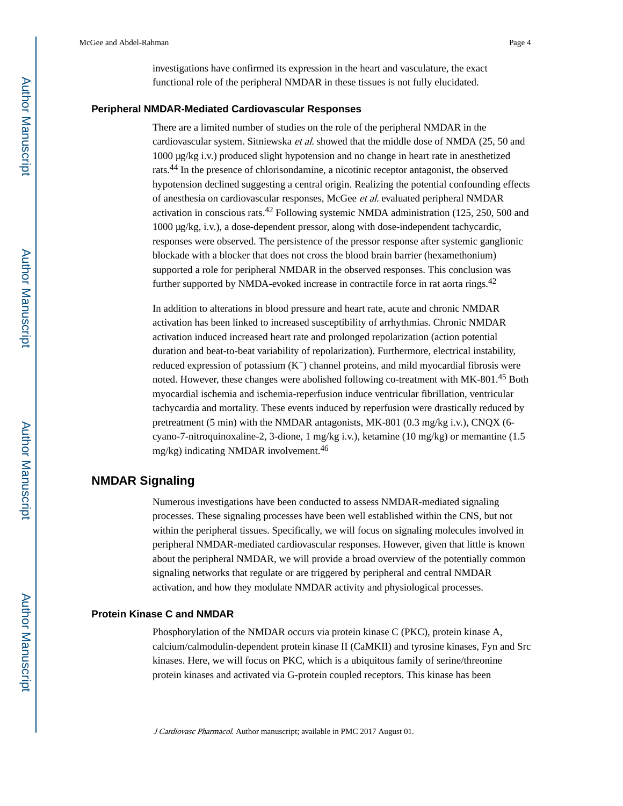investigations have confirmed its expression in the heart and vasculature, the exact functional role of the peripheral NMDAR in these tissues is not fully elucidated.

#### **Peripheral NMDAR-Mediated Cardiovascular Responses**

There are a limited number of studies on the role of the peripheral NMDAR in the cardiovascular system. Sitniewska et al. showed that the middle dose of NMDA (25, 50 and 1000 μg/kg i.v.) produced slight hypotension and no change in heart rate in anesthetized rats.44 In the presence of chlorisondamine, a nicotinic receptor antagonist, the observed hypotension declined suggesting a central origin. Realizing the potential confounding effects of anesthesia on cardiovascular responses, McGee et al. evaluated peripheral NMDAR activation in conscious rats.42 Following systemic NMDA administration (125, 250, 500 and 1000 μg/kg, i.v.), a dose-dependent pressor, along with dose-independent tachycardic, responses were observed. The persistence of the pressor response after systemic ganglionic blockade with a blocker that does not cross the blood brain barrier (hexamethonium) supported a role for peripheral NMDAR in the observed responses. This conclusion was further supported by NMDA-evoked increase in contractile force in rat aorta rings.<sup>42</sup>

In addition to alterations in blood pressure and heart rate, acute and chronic NMDAR activation has been linked to increased susceptibility of arrhythmias. Chronic NMDAR activation induced increased heart rate and prolonged repolarization (action potential duration and beat-to-beat variability of repolarization). Furthermore, electrical instability, reduced expression of potassium  $(K^+)$  channel proteins, and mild myocardial fibrosis were noted. However, these changes were abolished following co-treatment with MK-801.<sup>45</sup> Both myocardial ischemia and ischemia-reperfusion induce ventricular fibrillation, ventricular tachycardia and mortality. These events induced by reperfusion were drastically reduced by pretreatment (5 min) with the NMDAR antagonists, MK-801 (0.3 mg/kg i.v.), CNQX (6 cyano-7-nitroquinoxaline-2, 3-dione, 1 mg/kg i.v.), ketamine (10 mg/kg) or memantine (1.5 mg/kg) indicating NMDAR involvement.<sup>46</sup>

## **NMDAR Signaling**

Numerous investigations have been conducted to assess NMDAR-mediated signaling processes. These signaling processes have been well established within the CNS, but not within the peripheral tissues. Specifically, we will focus on signaling molecules involved in peripheral NMDAR-mediated cardiovascular responses. However, given that little is known about the peripheral NMDAR, we will provide a broad overview of the potentially common signaling networks that regulate or are triggered by peripheral and central NMDAR activation, and how they modulate NMDAR activity and physiological processes.

#### **Protein Kinase C and NMDAR**

Phosphorylation of the NMDAR occurs via protein kinase C (PKC), protein kinase A, calcium/calmodulin-dependent protein kinase II (CaMKII) and tyrosine kinases, Fyn and Src kinases. Here, we will focus on PKC, which is a ubiquitous family of serine/threonine protein kinases and activated via G-protein coupled receptors. This kinase has been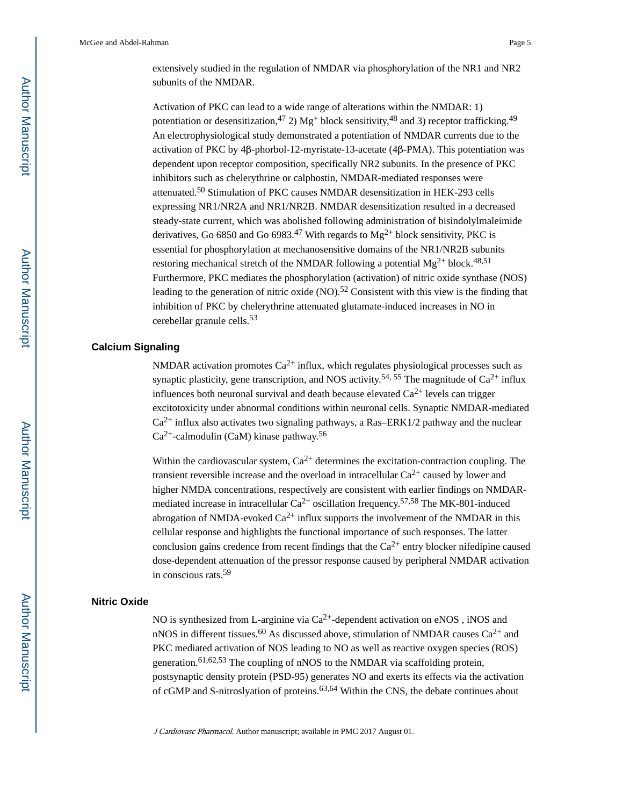Activation of PKC can lead to a wide range of alterations within the NMDAR: 1) potentiation or desensitization,<sup>47</sup> 2) Mg<sup>+</sup> block sensitivity,<sup>48</sup> and 3) receptor trafficking.<sup>49</sup> An electrophysiological study demonstrated a potentiation of NMDAR currents due to the activation of PKC by 4β-phorbol-12-myristate-13-acetate (4β-PMA). This potentiation was dependent upon receptor composition, specifically NR2 subunits. In the presence of PKC inhibitors such as chelerythrine or calphostin, NMDAR-mediated responses were attenuated.50 Stimulation of PKC causes NMDAR desensitization in HEK-293 cells expressing NR1/NR2A and NR1/NR2B. NMDAR desensitization resulted in a decreased steady-state current, which was abolished following administration of bisindolylmaleimide derivatives, Go 6850 and Go 6983.<sup>47</sup> With regards to  $Mg^{2+}$  block sensitivity, PKC is essential for phosphorylation at mechanosensitive domains of the NR1/NR2B subunits restoring mechanical stretch of the NMDAR following a potential  $Mg^{2+}$  block.<sup>48,51</sup> Furthermore, PKC mediates the phosphorylation (activation) of nitric oxide synthase (NOS) leading to the generation of nitric oxide  $(NO)$ .<sup>52</sup> Consistent with this view is the finding that inhibition of PKC by chelerythrine attenuated glutamate-induced increases in NO in cerebellar granule cells.<sup>53</sup>

## **Calcium Signaling**

NMDAR activation promotes  $Ca^{2+}$  influx, which regulates physiological processes such as synaptic plasticity, gene transcription, and NOS activity.<sup>54, 55</sup> The magnitude of  $Ca^{2+}$  influx influences both neuronal survival and death because elevated  $Ca^{2+}$  levels can trigger excitotoxicity under abnormal conditions within neuronal cells. Synaptic NMDAR-mediated  $Ca^{2+}$  influx also activates two signaling pathways, a Ras–ERK1/2 pathway and the nuclear  $Ca<sup>2+</sup>$ -calmodulin (CaM) kinase pathway.<sup>56</sup>

Within the cardiovascular system,  $Ca^{2+}$  determines the excitation-contraction coupling. The transient reversible increase and the overload in intracellular  $Ca^{2+}$  caused by lower and higher NMDA concentrations, respectively are consistent with earlier findings on NMDARmediated increase in intracellular  $Ca^{2+}$  oscillation frequency.<sup>57,58</sup> The MK-801-induced abrogation of NMDA-evoked  $Ca^{2+}$  influx supports the involvement of the NMDAR in this cellular response and highlights the functional importance of such responses. The latter conclusion gains credence from recent findings that the  $Ca^{2+}$  entry blocker nifedipine caused dose-dependent attenuation of the pressor response caused by peripheral NMDAR activation in conscious rats.<sup>59</sup>

#### **Nitric Oxide**

NO is synthesized from L-arginine via  $Ca^{2+}$ -dependent activation on eNOS, iNOS and nNOS in different tissues.<sup>60</sup> As discussed above, stimulation of NMDAR causes  $Ca^{2+}$  and PKC mediated activation of NOS leading to NO as well as reactive oxygen species (ROS) generation.<sup>61,62,53</sup> The coupling of nNOS to the NMDAR via scaffolding protein, postsynaptic density protein (PSD-95) generates NO and exerts its effects via the activation of cGMP and S-nitroslyation of proteins.<sup>63,64</sup> Within the CNS, the debate continues about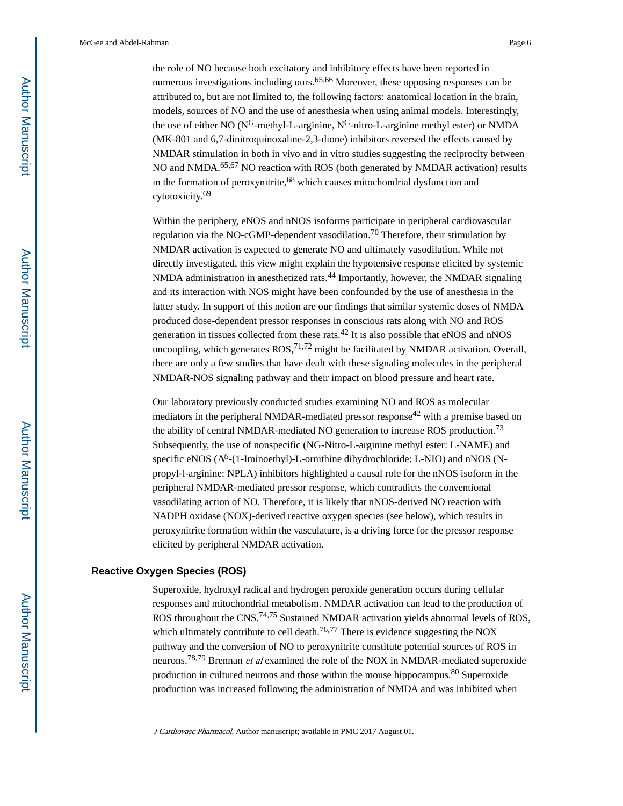the role of NO because both excitatory and inhibitory effects have been reported in numerous investigations including ours.<sup>65,66</sup> Moreover, these opposing responses can be attributed to, but are not limited to, the following factors: anatomical location in the brain, models, sources of NO and the use of anesthesia when using animal models. Interestingly, the use of either NO ( $N^G$ -methyl-L-arginine,  $N^G$ -nitro-L-arginine methyl ester) or NMDA (MK-801 and 6,7-dinitroquinoxaline-2,3-dione) inhibitors reversed the effects caused by NMDAR stimulation in both in vivo and in vitro studies suggesting the reciprocity between NO and NMDA.<sup>65,67</sup> NO reaction with ROS (both generated by NMDAR activation) results in the formation of peroxynitrite,68 which causes mitochondrial dysfunction and cytotoxicity.<sup>69</sup>

Within the periphery, eNOS and nNOS isoforms participate in peripheral cardiovascular regulation via the NO-cGMP-dependent vasodilation.<sup>70</sup> Therefore, their stimulation by NMDAR activation is expected to generate NO and ultimately vasodilation. While not directly investigated, this view might explain the hypotensive response elicited by systemic NMDA administration in anesthetized rats.<sup>44</sup> Importantly, however, the NMDAR signaling and its interaction with NOS might have been confounded by the use of anesthesia in the latter study. In support of this notion are our findings that similar systemic doses of NMDA produced dose-dependent pressor responses in conscious rats along with NO and ROS generation in tissues collected from these rats.42 It is also possible that eNOS and nNOS uncoupling, which generates  $ROS<sub>1</sub><sup>71,72</sup>$  might be facilitated by NMDAR activation. Overall, there are only a few studies that have dealt with these signaling molecules in the peripheral NMDAR-NOS signaling pathway and their impact on blood pressure and heart rate.

Our laboratory previously conducted studies examining NO and ROS as molecular mediators in the peripheral NMDAR-mediated pressor response<sup>42</sup> with a premise based on the ability of central NMDAR-mediated NO generation to increase ROS production.<sup>73</sup> Subsequently, the use of nonspecific (NG-Nitro-L-arginine methyl ester: L-NAME) and specific eNOS ( $N^5$ -(1-Iminoethyl)-L-ornithine dihydrochloride: L-NIO) and nNOS (Npropyl-l-arginine: NPLA) inhibitors highlighted a causal role for the nNOS isoform in the peripheral NMDAR-mediated pressor response, which contradicts the conventional vasodilating action of NO. Therefore, it is likely that nNOS-derived NO reaction with NADPH oxidase (NOX)-derived reactive oxygen species (see below), which results in peroxynitrite formation within the vasculature, is a driving force for the pressor response elicited by peripheral NMDAR activation.

#### **Reactive Oxygen Species (ROS)**

Superoxide, hydroxyl radical and hydrogen peroxide generation occurs during cellular responses and mitochondrial metabolism. NMDAR activation can lead to the production of ROS throughout the CNS.<sup>74,75</sup> Sustained NMDAR activation yields abnormal levels of ROS, which ultimately contribute to cell death.<sup>76,77</sup> There is evidence suggesting the NOX pathway and the conversion of NO to peroxynitrite constitute potential sources of ROS in neurons.<sup>78,79</sup> Brennan *et al* examined the role of the NOX in NMDAR-mediated superoxide production in cultured neurons and those within the mouse hippocampus.80 Superoxide production was increased following the administration of NMDA and was inhibited when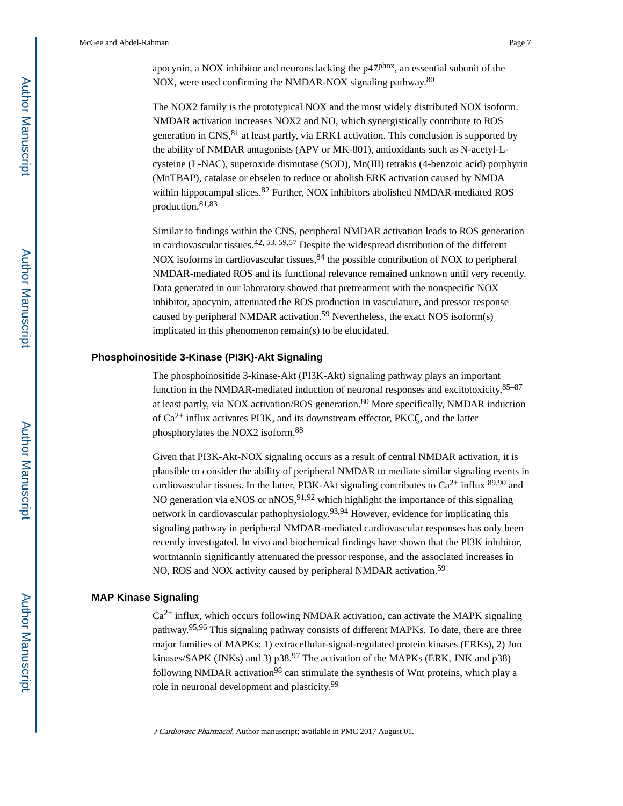apocynin, a NOX inhibitor and neurons lacking the p47phox, an essential subunit of the NOX, were used confirming the NMDAR-NOX signaling pathway.<sup>80</sup>

The NOX2 family is the prototypical NOX and the most widely distributed NOX isoform. NMDAR activation increases NOX2 and NO, which synergistically contribute to ROS generation in  $CNS$ <sup>81</sup> at least partly, via ERK1 activation. This conclusion is supported by the ability of NMDAR antagonists (APV or MK-801), antioxidants such as N-acetyl-Lcysteine (L-NAC), superoxide dismutase (SOD), Mn(III) tetrakis (4-benzoic acid) porphyrin (MnTBAP), catalase or ebselen to reduce or abolish ERK activation caused by NMDA within hippocampal slices.<sup>82</sup> Further, NOX inhibitors abolished NMDAR-mediated ROS production.81,83

Similar to findings within the CNS, peripheral NMDAR activation leads to ROS generation in cardiovascular tissues.<sup>42, 53, 59, 57</sup> Despite the widespread distribution of the different NOX isoforms in cardiovascular tissues,  $84$  the possible contribution of NOX to peripheral NMDAR-mediated ROS and its functional relevance remained unknown until very recently. Data generated in our laboratory showed that pretreatment with the nonspecific NOX inhibitor, apocynin, attenuated the ROS production in vasculature, and pressor response caused by peripheral NMDAR activation.<sup>59</sup> Nevertheless, the exact NOS isoform(s) implicated in this phenomenon remain(s) to be elucidated.

#### **Phosphoinositide 3-Kinase (PI3K)-Akt Signaling**

The phosphoinositide 3-kinase-Akt (PI3K-Akt) signaling pathway plays an important function in the NMDAR-mediated induction of neuronal responses and excitotoxicity,85–87 at least partly, via NOX activation/ROS generation.<sup>80</sup> More specifically, NMDAR induction of  $Ca^{2+}$  influx activates PI3K, and its downstream effector, PKC $\zeta$ , and the latter phosphorylates the NOX2 isoform.<sup>88</sup>

Given that PI3K-Akt-NOX signaling occurs as a result of central NMDAR activation, it is plausible to consider the ability of peripheral NMDAR to mediate similar signaling events in cardiovascular tissues. In the latter, PI3K-Akt signaling contributes to  $Ca^{2+}$  influx  $89,90$  and NO generation via eNOS or  $nNOS$ ,  $91,92$  which highlight the importance of this signaling network in cardiovascular pathophysiology.93,94 However, evidence for implicating this signaling pathway in peripheral NMDAR-mediated cardiovascular responses has only been recently investigated. In vivo and biochemical findings have shown that the PI3K inhibitor, wortmannin significantly attenuated the pressor response, and the associated increases in NO, ROS and NOX activity caused by peripheral NMDAR activation.<sup>59</sup>

#### **MAP Kinase Signaling**

 $Ca<sup>2+</sup>$  influx, which occurs following NMDAR activation, can activate the MAPK signaling pathway.95,96 This signaling pathway consists of different MAPKs. To date, there are three major families of MAPKs: 1) extracellular-signal-regulated protein kinases (ERKs), 2) Jun kinases/SAPK (JNKs) and 3)  $p38.97$  The activation of the MAPKs (ERK, JNK and  $p38$ ) following NMDAR activation<sup>98</sup> can stimulate the synthesis of Wnt proteins, which play a role in neuronal development and plasticity.<sup>99</sup>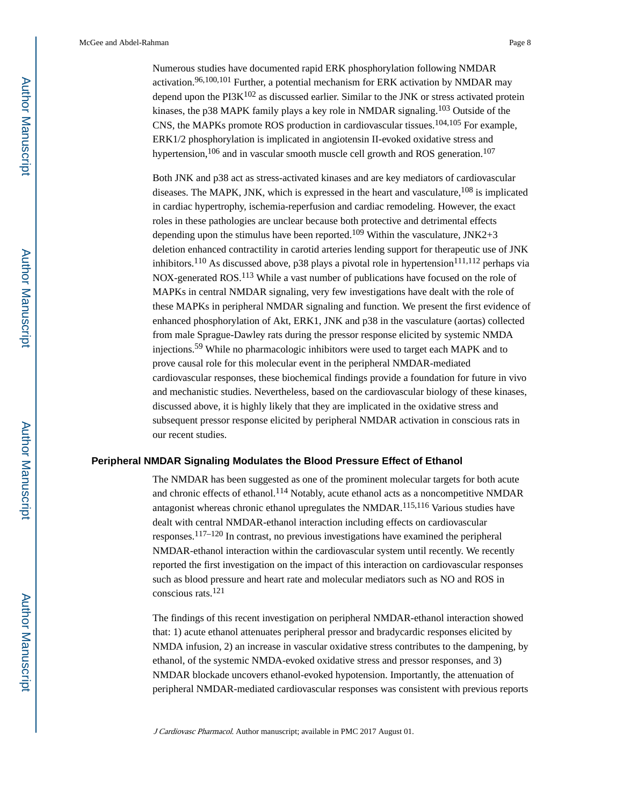Numerous studies have documented rapid ERK phosphorylation following NMDAR activation.<sup>96,100,101</sup> Further, a potential mechanism for ERK activation by NMDAR may depend upon the  $PI3K^{102}$  as discussed earlier. Similar to the JNK or stress activated protein kinases, the p38 MAPK family plays a key role in NMDAR signaling.<sup>103</sup> Outside of the CNS, the MAPKs promote ROS production in cardiovascular tissues.104,105 For example, ERK1/2 phosphorylation is implicated in angiotensin II-evoked oxidative stress and hypertension,<sup>106</sup> and in vascular smooth muscle cell growth and ROS generation.<sup>107</sup>

Both JNK and p38 act as stress-activated kinases and are key mediators of cardiovascular diseases. The MAPK, JNK, which is expressed in the heart and vasculature,  $^{108}$  is implicated in cardiac hypertrophy, ischemia-reperfusion and cardiac remodeling. However, the exact roles in these pathologies are unclear because both protective and detrimental effects depending upon the stimulus have been reported.<sup>109</sup> Within the vasculature, JNK2+3 deletion enhanced contractility in carotid arteries lending support for therapeutic use of JNK inhibitors.<sup>110</sup> As discussed above, p38 plays a pivotal role in hypertension<sup>111,112</sup> perhaps via NOX-generated ROS.113 While a vast number of publications have focused on the role of MAPKs in central NMDAR signaling, very few investigations have dealt with the role of these MAPKs in peripheral NMDAR signaling and function. We present the first evidence of enhanced phosphorylation of Akt, ERK1, JNK and p38 in the vasculature (aortas) collected from male Sprague-Dawley rats during the pressor response elicited by systemic NMDA injections.59 While no pharmacologic inhibitors were used to target each MAPK and to prove causal role for this molecular event in the peripheral NMDAR-mediated cardiovascular responses, these biochemical findings provide a foundation for future in vivo and mechanistic studies. Nevertheless, based on the cardiovascular biology of these kinases, discussed above, it is highly likely that they are implicated in the oxidative stress and subsequent pressor response elicited by peripheral NMDAR activation in conscious rats in our recent studies.

## **Peripheral NMDAR Signaling Modulates the Blood Pressure Effect of Ethanol**

The NMDAR has been suggested as one of the prominent molecular targets for both acute and chronic effects of ethanol.<sup>114</sup> Notably, acute ethanol acts as a noncompetitive NMDAR antagonist whereas chronic ethanol upregulates the NMDAR.115,116 Various studies have dealt with central NMDAR-ethanol interaction including effects on cardiovascular responses.117–120 In contrast, no previous investigations have examined the peripheral NMDAR-ethanol interaction within the cardiovascular system until recently. We recently reported the first investigation on the impact of this interaction on cardiovascular responses such as blood pressure and heart rate and molecular mediators such as NO and ROS in conscious rats.<sup>121</sup>

The findings of this recent investigation on peripheral NMDAR-ethanol interaction showed that: 1) acute ethanol attenuates peripheral pressor and bradycardic responses elicited by NMDA infusion, 2) an increase in vascular oxidative stress contributes to the dampening, by ethanol, of the systemic NMDA-evoked oxidative stress and pressor responses, and 3) NMDAR blockade uncovers ethanol-evoked hypotension. Importantly, the attenuation of peripheral NMDAR-mediated cardiovascular responses was consistent with previous reports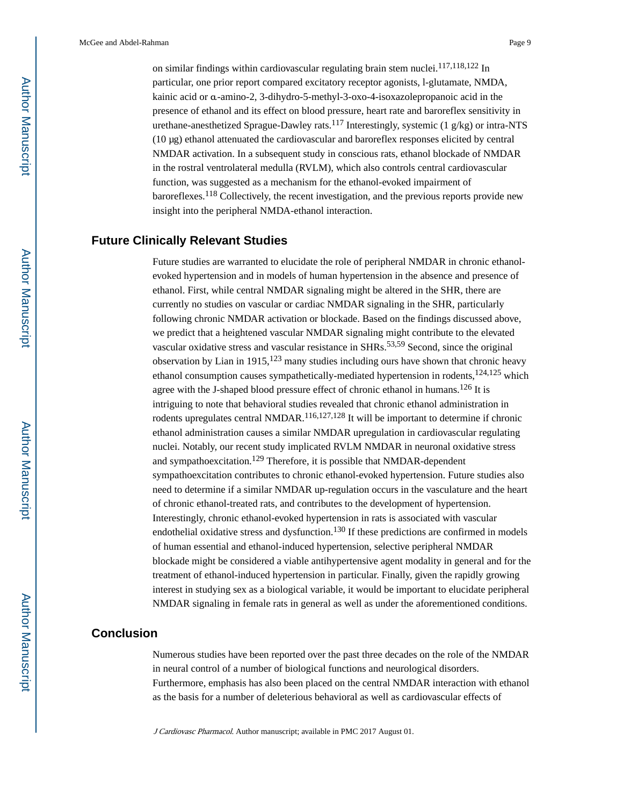on similar findings within cardiovascular regulating brain stem nuclei.<sup>117,118,122</sup> In particular, one prior report compared excitatory receptor agonists, l-glutamate, NMDA, kainic acid or α-amino-2, 3-dihydro-5-methyl-3-oxo-4-isoxazolepropanoic acid in the presence of ethanol and its effect on blood pressure, heart rate and baroreflex sensitivity in urethane-anesthetized Sprague-Dawley rats.<sup>117</sup> Interestingly, systemic (1 g/kg) or intra-NTS (10 μg) ethanol attenuated the cardiovascular and baroreflex responses elicited by central NMDAR activation. In a subsequent study in conscious rats, ethanol blockade of NMDAR in the rostral ventrolateral medulla (RVLM), which also controls central cardiovascular function, was suggested as a mechanism for the ethanol-evoked impairment of baroreflexes.<sup>118</sup> Collectively, the recent investigation, and the previous reports provide new insight into the peripheral NMDA-ethanol interaction.

## **Future Clinically Relevant Studies**

Future studies are warranted to elucidate the role of peripheral NMDAR in chronic ethanolevoked hypertension and in models of human hypertension in the absence and presence of ethanol. First, while central NMDAR signaling might be altered in the SHR, there are currently no studies on vascular or cardiac NMDAR signaling in the SHR, particularly following chronic NMDAR activation or blockade. Based on the findings discussed above, we predict that a heightened vascular NMDAR signaling might contribute to the elevated vascular oxidative stress and vascular resistance in SHRs.53,59 Second, since the original observation by Lian in 1915,  $123$  many studies including ours have shown that chronic heavy ethanol consumption causes sympathetically-mediated hypertension in rodents, $124,125$  which agree with the J-shaped blood pressure effect of chronic ethanol in humans.126 It is intriguing to note that behavioral studies revealed that chronic ethanol administration in rodents upregulates central NMDAR.<sup>116,127,128</sup> It will be important to determine if chronic ethanol administration causes a similar NMDAR upregulation in cardiovascular regulating nuclei. Notably, our recent study implicated RVLM NMDAR in neuronal oxidative stress and sympathoexcitation.129 Therefore, it is possible that NMDAR-dependent sympathoexcitation contributes to chronic ethanol-evoked hypertension. Future studies also need to determine if a similar NMDAR up-regulation occurs in the vasculature and the heart of chronic ethanol-treated rats, and contributes to the development of hypertension. Interestingly, chronic ethanol-evoked hypertension in rats is associated with vascular endothelial oxidative stress and dysfunction.<sup>130</sup> If these predictions are confirmed in models of human essential and ethanol-induced hypertension, selective peripheral NMDAR blockade might be considered a viable antihypertensive agent modality in general and for the treatment of ethanol-induced hypertension in particular. Finally, given the rapidly growing interest in studying sex as a biological variable, it would be important to elucidate peripheral NMDAR signaling in female rats in general as well as under the aforementioned conditions.

## **Conclusion**

Numerous studies have been reported over the past three decades on the role of the NMDAR in neural control of a number of biological functions and neurological disorders. Furthermore, emphasis has also been placed on the central NMDAR interaction with ethanol as the basis for a number of deleterious behavioral as well as cardiovascular effects of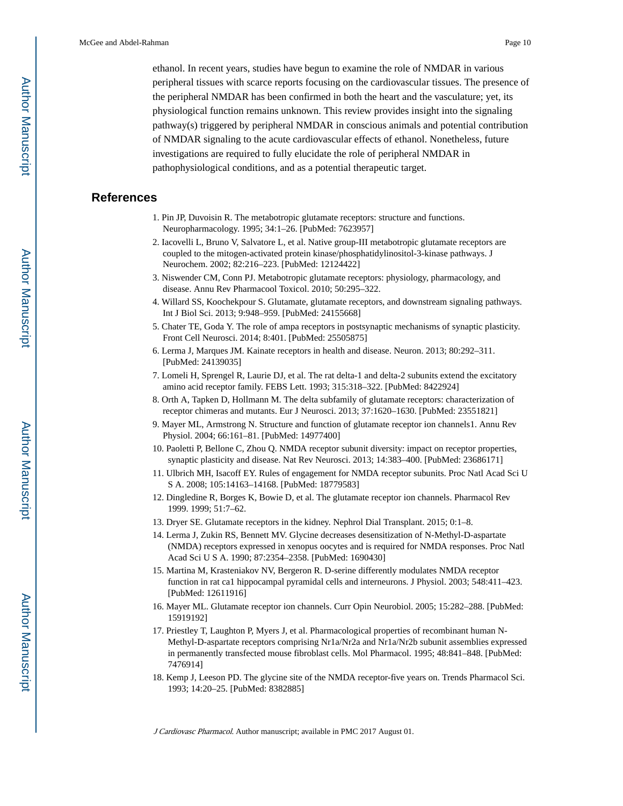ethanol. In recent years, studies have begun to examine the role of NMDAR in various peripheral tissues with scarce reports focusing on the cardiovascular tissues. The presence of the peripheral NMDAR has been confirmed in both the heart and the vasculature; yet, its physiological function remains unknown. This review provides insight into the signaling pathway(s) triggered by peripheral NMDAR in conscious animals and potential contribution of NMDAR signaling to the acute cardiovascular effects of ethanol. Nonetheless, future investigations are required to fully elucidate the role of peripheral NMDAR in pathophysiological conditions, and as a potential therapeutic target.

## **References**

- 1. Pin JP, Duvoisin R. The metabotropic glutamate receptors: structure and functions. Neuropharmacology. 1995; 34:1–26. [PubMed: 7623957]
- 2. Iacovelli L, Bruno V, Salvatore L, et al. Native group-III metabotropic glutamate receptors are coupled to the mitogen-activated protein kinase/phosphatidylinositol-3-kinase pathways. J Neurochem. 2002; 82:216–223. [PubMed: 12124422]
- 3. Niswender CM, Conn PJ. Metabotropic glutamate receptors: physiology, pharmacology, and disease. Annu Rev Pharmacool Toxicol. 2010; 50:295–322.
- 4. Willard SS, Koochekpour S. Glutamate, glutamate receptors, and downstream signaling pathways. Int J Biol Sci. 2013; 9:948–959. [PubMed: 24155668]
- 5. Chater TE, Goda Y. The role of ampa receptors in postsynaptic mechanisms of synaptic plasticity. Front Cell Neurosci. 2014; 8:401. [PubMed: 25505875]
- 6. Lerma J, Marques JM. Kainate receptors in health and disease. Neuron. 2013; 80:292–311. [PubMed: 24139035]
- 7. Lomeli H, Sprengel R, Laurie DJ, et al. The rat delta-1 and delta-2 subunits extend the excitatory amino acid receptor family. FEBS Lett. 1993; 315:318–322. [PubMed: 8422924]
- 8. Orth A, Tapken D, Hollmann M. The delta subfamily of glutamate receptors: characterization of receptor chimeras and mutants. Eur J Neurosci. 2013; 37:1620–1630. [PubMed: 23551821]
- 9. Mayer ML, Armstrong N. Structure and function of glutamate receptor ion channels1. Annu Rev Physiol. 2004; 66:161–81. [PubMed: 14977400]
- 10. Paoletti P, Bellone C, Zhou Q. NMDA receptor subunit diversity: impact on receptor properties, synaptic plasticity and disease. Nat Rev Neurosci. 2013; 14:383–400. [PubMed: 23686171]
- 11. Ulbrich MH, Isacoff EY. Rules of engagement for NMDA receptor subunits. Proc Natl Acad Sci U S A. 2008; 105:14163–14168. [PubMed: 18779583]
- 12. Dingledine R, Borges K, Bowie D, et al. The glutamate receptor ion channels. Pharmacol Rev 1999. 1999; 51:7–62.
- 13. Dryer SE. Glutamate receptors in the kidney. Nephrol Dial Transplant. 2015; 0:1–8.
- 14. Lerma J, Zukin RS, Bennett MV. Glycine decreases desensitization of N-Methyl-D-aspartate (NMDA) receptors expressed in xenopus oocytes and is required for NMDA responses. Proc Natl Acad Sci U S A. 1990; 87:2354–2358. [PubMed: 1690430]
- 15. Martina M, Krasteniakov NV, Bergeron R. D-serine differently modulates NMDA receptor function in rat ca1 hippocampal pyramidal cells and interneurons. J Physiol. 2003; 548:411–423. [PubMed: 12611916]
- 16. Mayer ML. Glutamate receptor ion channels. Curr Opin Neurobiol. 2005; 15:282–288. [PubMed: 15919192]
- 17. Priestley T, Laughton P, Myers J, et al. Pharmacological properties of recombinant human N-Methyl-D-aspartate receptors comprising Nr1a/Nr2a and Nr1a/Nr2b subunit assemblies expressed in permanently transfected mouse fibroblast cells. Mol Pharmacol. 1995; 48:841–848. [PubMed: 7476914]
- 18. Kemp J, Leeson PD. The glycine site of the NMDA receptor-five years on. Trends Pharmacol Sci. 1993; 14:20–25. [PubMed: 8382885]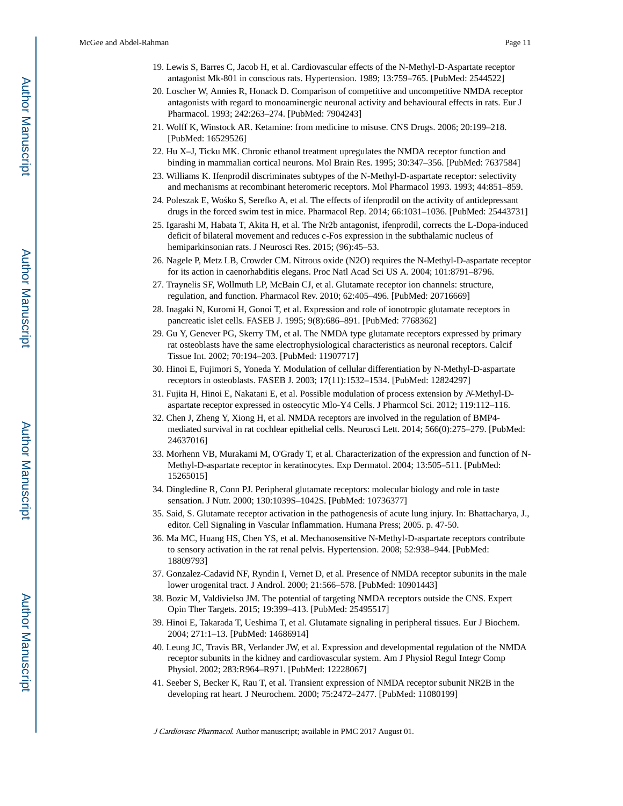- 19. Lewis S, Barres C, Jacob H, et al. Cardiovascular effects of the N-Methyl-D-Aspartate receptor antagonist Mk-801 in conscious rats. Hypertension. 1989; 13:759–765. [PubMed: 2544522]
- 20. Loscher W, Annies R, Honack D. Comparison of competitive and uncompetitive NMDA receptor antagonists with regard to monoaminergic neuronal activity and behavioural effects in rats. Eur J Pharmacol. 1993; 242:263–274. [PubMed: 7904243]
- 21. Wolff K, Winstock AR. Ketamine: from medicine to misuse. CNS Drugs. 2006; 20:199–218. [PubMed: 16529526]
- 22. Hu X–J, Ticku MK. Chronic ethanol treatment upregulates the NMDA receptor function and binding in mammalian cortical neurons. Mol Brain Res. 1995; 30:347–356. [PubMed: 7637584]
- 23. Williams K. Ifenprodil discriminates subtypes of the N-Methyl-D-aspartate receptor: selectivity and mechanisms at recombinant heteromeric receptors. Mol Pharmacol 1993. 1993; 44:851–859.
- 24. Poleszak E, Wo ko S, Serefko A, et al. The effects of ifenprodil on the activity of antidepressant drugs in the forced swim test in mice. Pharmacol Rep. 2014; 66:1031–1036. [PubMed: 25443731]
- 25. Igarashi M, Habata T, Akita H, et al. The Nr2b antagonist, ifenprodil, corrects the L-Dopa-induced deficit of bilateral movement and reduces c-Fos expression in the subthalamic nucleus of hemiparkinsonian rats. J Neurosci Res. 2015; (96):45–53.
- 26. Nagele P, Metz LB, Crowder CM. Nitrous oxide (N2O) requires the N-Methyl-D-aspartate receptor for its action in caenorhabditis elegans. Proc Natl Acad Sci US A. 2004; 101:8791–8796.
- 27. Traynelis SF, Wollmuth LP, McBain CJ, et al. Glutamate receptor ion channels: structure, regulation, and function. Pharmacol Rev. 2010; 62:405–496. [PubMed: 20716669]
- 28. Inagaki N, Kuromi H, Gonoi T, et al. Expression and role of ionotropic glutamate receptors in pancreatic islet cells. FASEB J. 1995; 9(8):686–891. [PubMed: 7768362]
- 29. Gu Y, Genever PG, Skerry TM, et al. The NMDA type glutamate receptors expressed by primary rat osteoblasts have the same electrophysiological characteristics as neuronal receptors. Calcif Tissue Int. 2002; 70:194–203. [PubMed: 11907717]
- 30. Hinoi E, Fujimori S, Yoneda Y. Modulation of cellular differentiation by N-Methyl-D-aspartate receptors in osteoblasts. FASEB J. 2003; 17(11):1532–1534. [PubMed: 12824297]
- 31. Fujita H, Hinoi E, Nakatani E, et al. Possible modulation of process extension by N-Methyl-Daspartate receptor expressed in osteocytic Mlo-Y4 Cells. J Pharmcol Sci. 2012; 119:112–116.
- 32. Chen J, Zheng Y, Xiong H, et al. NMDA receptors are involved in the regulation of BMP4 mediated survival in rat cochlear epithelial cells. Neurosci Lett. 2014; 566(0):275–279. [PubMed: 24637016]
- 33. Morhenn VB, Murakami M, O'Grady T, et al. Characterization of the expression and function of N-Methyl-D-aspartate receptor in keratinocytes. Exp Dermatol. 2004; 13:505–511. [PubMed: 15265015]
- 34. Dingledine R, Conn PJ. Peripheral glutamate receptors: molecular biology and role in taste sensation. J Nutr. 2000; 130:1039S–1042S. [PubMed: 10736377]
- 35. Said, S. Glutamate receptor activation in the pathogenesis of acute lung injury. In: Bhattacharya, J., editor. Cell Signaling in Vascular Inflammation. Humana Press; 2005. p. 47-50.
- 36. Ma MC, Huang HS, Chen YS, et al. Mechanosensitive N-Methyl-D-aspartate receptors contribute to sensory activation in the rat renal pelvis. Hypertension. 2008; 52:938–944. [PubMed: 18809793]
- 37. Gonzalez-Cadavid NF, Ryndin I, Vernet D, et al. Presence of NMDA receptor subunits in the male lower urogenital tract. J Androl. 2000; 21:566–578. [PubMed: 10901443]
- 38. Bozic M, Valdivielso JM. The potential of targeting NMDA receptors outside the CNS. Expert Opin Ther Targets. 2015; 19:399–413. [PubMed: 25495517]
- 39. Hinoi E, Takarada T, Ueshima T, et al. Glutamate signaling in peripheral tissues. Eur J Biochem. 2004; 271:1–13. [PubMed: 14686914]
- 40. Leung JC, Travis BR, Verlander JW, et al. Expression and developmental regulation of the NMDA receptor subunits in the kidney and cardiovascular system. Am J Physiol Regul Integr Comp Physiol. 2002; 283:R964–R971. [PubMed: 12228067]
- 41. Seeber S, Becker K, Rau T, et al. Transient expression of NMDA receptor subunit NR2B in the developing rat heart. J Neurochem. 2000; 75:2472–2477. [PubMed: 11080199]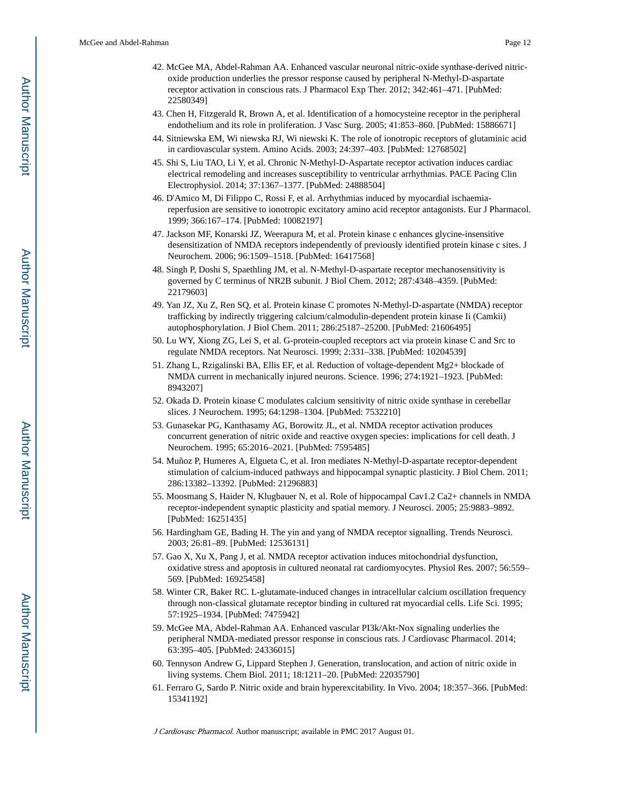- 42. McGee MA, Abdel-Rahman AA. Enhanced vascular neuronal nitric-oxide synthase-derived nitricoxide production underlies the pressor response caused by peripheral N-Methyl-D-aspartate receptor activation in conscious rats. J Pharmacol Exp Ther. 2012; 342:461–471. [PubMed: 22580349]
- 43. Chen H, Fitzgerald R, Brown A, et al. Identification of a homocysteine receptor in the peripheral endothelium and its role in proliferation. J Vasc Surg. 2005; 41:853–860. [PubMed: 15886671]
- 44. Sitniewska EM, Wi niewska RJ, Wi niewski K. The role of ionotropic receptors of glutaminic acid in cardiovascular system. Amino Acids. 2003; 24:397–403. [PubMed: 12768502]
- 45. Shi S, Liu TAO, Li Y, et al. Chronic N-Methyl-D-Aspartate receptor activation induces cardiac electrical remodeling and increases susceptibility to ventricular arrhythmias. PACE Pacing Clin Electrophysiol. 2014; 37:1367–1377. [PubMed: 24888504]
- 46. D'Amico M, Di Filippo C, Rossi F, et al. Arrhythmias induced by myocardial ischaemiareperfusion are sensitive to ionotropic excitatory amino acid receptor antagonists. Eur J Pharmacol. 1999; 366:167–174. [PubMed: 10082197]
- 47. Jackson MF, Konarski JZ, Weerapura M, et al. Protein kinase c enhances glycine-insensitive desensitization of NMDA receptors independently of previously identified protein kinase c sites. J Neurochem. 2006; 96:1509–1518. [PubMed: 16417568]
- 48. Singh P, Doshi S, Spaethling JM, et al. N-Methyl-D-aspartate receptor mechanosensitivity is governed by C terminus of NR2B subunit. J Biol Chem. 2012; 287:4348–4359. [PubMed: 22179603]
- 49. Yan JZ, Xu Z, Ren SQ, et al. Protein kinase C promotes N-Methyl-D-aspartate (NMDA) receptor trafficking by indirectly triggering calcium/calmodulin-dependent protein kinase Ii (Camkii) autophosphorylation. J Biol Chem. 2011; 286:25187–25200. [PubMed: 21606495]
- 50. Lu WY, Xiong ZG, Lei S, et al. G-protein-coupled receptors act via protein kinase C and Src to regulate NMDA receptors. Nat Neurosci. 1999; 2:331–338. [PubMed: 10204539]
- 51. Zhang L, Rzigalinski BA, Ellis EF, et al. Reduction of voltage-dependent Mg2+ blockade of NMDA current in mechanically injured neurons. Science. 1996; 274:1921–1923. [PubMed: 8943207]
- 52. Okada D. Protein kinase C modulates calcium sensitivity of nitric oxide synthase in cerebellar slices. J Neurochem. 1995; 64:1298–1304. [PubMed: 7532210]
- 53. Gunasekar PG, Kanthasamy AG, Borowitz JL, et al. NMDA receptor activation produces concurrent generation of nitric oxide and reactive oxygen species: implications for cell death. J Neurochem. 1995; 65:2016–2021. [PubMed: 7595485]
- 54. Muñoz P, Humeres A, Elgueta C, et al. Iron mediates N-Methyl-D-aspartate receptor-dependent stimulation of calcium-induced pathways and hippocampal synaptic plasticity. J Biol Chem. 2011; 286:13382–13392. [PubMed: 21296883]
- 55. Moosmang S, Haider N, Klugbauer N, et al. Role of hippocampal Cav1.2 Ca2+ channels in NMDA receptor-independent synaptic plasticity and spatial memory. J Neurosci. 2005; 25:9883–9892. [PubMed: 16251435]
- 56. Hardingham GE, Bading H. The yin and yang of NMDA receptor signalling. Trends Neurosci. 2003; 26:81–89. [PubMed: 12536131]
- 57. Gao X, Xu X, Pang J, et al. NMDA receptor activation induces mitochondrial dysfunction, oxidative stress and apoptosis in cultured neonatal rat cardiomyocytes. Physiol Res. 2007; 56:559– 569. [PubMed: 16925458]
- 58. Winter CR, Baker RC. L-glutamate-induced changes in intracellular calcium oscillation frequency through non-classical glutamate receptor binding in cultured rat myocardial cells. Life Sci. 1995; 57:1925–1934. [PubMed: 7475942]
- 59. McGee MA, Abdel-Rahman AA. Enhanced vascular PI3k/Akt-Nox signaling underlies the peripheral NMDA-mediated pressor response in conscious rats. J Cardiovasc Pharmacol. 2014; 63:395–405. [PubMed: 24336015]
- 60. Tennyson Andrew G, Lippard Stephen J. Generation, translocation, and action of nitric oxide in living systems. Chem Biol. 2011; 18:1211–20. [PubMed: 22035790]
- 61. Ferraro G, Sardo P. Nitric oxide and brain hyperexcitability. In Vivo. 2004; 18:357–366. [PubMed: 15341192]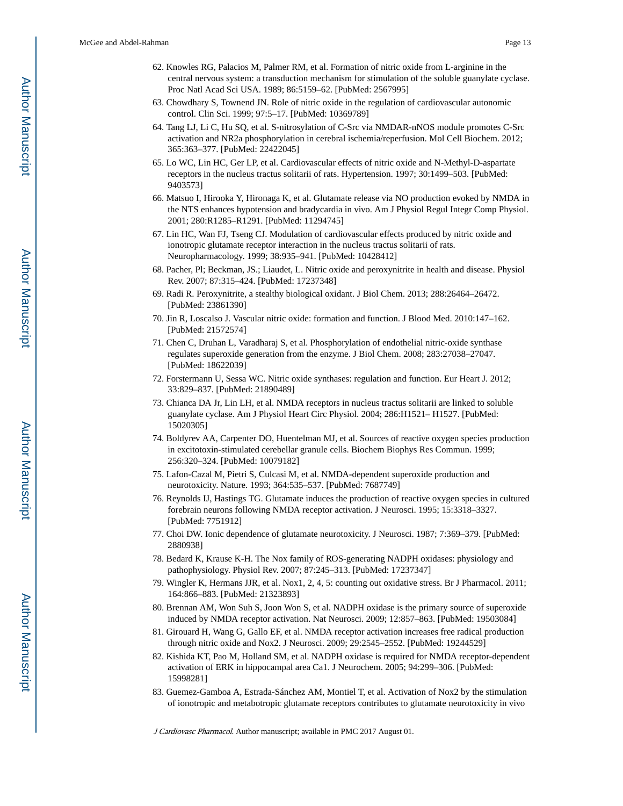- 62. Knowles RG, Palacios M, Palmer RM, et al. Formation of nitric oxide from L-arginine in the central nervous system: a transduction mechanism for stimulation of the soluble guanylate cyclase. Proc Natl Acad Sci USA. 1989; 86:5159–62. [PubMed: 2567995]
- 63. Chowdhary S, Townend JN. Role of nitric oxide in the regulation of cardiovascular autonomic control. Clin Sci. 1999; 97:5–17. [PubMed: 10369789]
- 64. Tang LJ, Li C, Hu SQ, et al. S-nitrosylation of C-Src via NMDAR-nNOS module promotes C-Src activation and NR2a phosphorylation in cerebral ischemia/reperfusion. Mol Cell Biochem. 2012; 365:363–377. [PubMed: 22422045]
- 65. Lo WC, Lin HC, Ger LP, et al. Cardiovascular effects of nitric oxide and N-Methyl-D-aspartate receptors in the nucleus tractus solitarii of rats. Hypertension. 1997; 30:1499–503. [PubMed: 9403573]
- 66. Matsuo I, Hirooka Y, Hironaga K, et al. Glutamate release via NO production evoked by NMDA in the NTS enhances hypotension and bradycardia in vivo. Am J Physiol Regul Integr Comp Physiol. 2001; 280:R1285–R1291. [PubMed: 11294745]
- 67. Lin HC, Wan FJ, Tseng CJ. Modulation of cardiovascular effects produced by nitric oxide and ionotropic glutamate receptor interaction in the nucleus tractus solitarii of rats. Neuropharmacology. 1999; 38:935–941. [PubMed: 10428412]
- 68. Pacher, Pl; Beckman, JS.; Liaudet, L. Nitric oxide and peroxynitrite in health and disease. Physiol Rev. 2007; 87:315–424. [PubMed: 17237348]
- 69. Radi R. Peroxynitrite, a stealthy biological oxidant. J Biol Chem. 2013; 288:26464–26472. [PubMed: 23861390]
- 70. Jin R, Loscalso J. Vascular nitric oxide: formation and function. J Blood Med. 2010:147–162. [PubMed: 21572574]
- 71. Chen C, Druhan L, Varadharaj S, et al. Phosphorylation of endothelial nitric-oxide synthase regulates superoxide generation from the enzyme. J Biol Chem. 2008; 283:27038–27047. [PubMed: 18622039]
- 72. Forstermann U, Sessa WC. Nitric oxide synthases: regulation and function. Eur Heart J. 2012; 33:829–837. [PubMed: 21890489]
- 73. Chianca DA Jr, Lin LH, et al. NMDA receptors in nucleus tractus solitarii are linked to soluble guanylate cyclase. Am J Physiol Heart Circ Physiol. 2004; 286:H1521– H1527. [PubMed: 15020305]
- 74. Boldyrev AA, Carpenter DO, Huentelman MJ, et al. Sources of reactive oxygen species production in excitotoxin-stimulated cerebellar granule cells. Biochem Biophys Res Commun. 1999; 256:320–324. [PubMed: 10079182]
- 75. Lafon-Cazal M, Pietri S, Culcasi M, et al. NMDA-dependent superoxide production and neurotoxicity. Nature. 1993; 364:535–537. [PubMed: 7687749]
- 76. Reynolds IJ, Hastings TG. Glutamate induces the production of reactive oxygen species in cultured forebrain neurons following NMDA receptor activation. J Neurosci. 1995; 15:3318–3327. [PubMed: 7751912]
- 77. Choi DW. Ionic dependence of glutamate neurotoxicity. J Neurosci. 1987; 7:369–379. [PubMed: 2880938]
- 78. Bedard K, Krause K-H. The Nox family of ROS-generating NADPH oxidases: physiology and pathophysiology. Physiol Rev. 2007; 87:245–313. [PubMed: 17237347]
- 79. Wingler K, Hermans JJR, et al. Nox1, 2, 4, 5: counting out oxidative stress. Br J Pharmacol. 2011; 164:866–883. [PubMed: 21323893]
- 80. Brennan AM, Won Suh S, Joon Won S, et al. NADPH oxidase is the primary source of superoxide induced by NMDA receptor activation. Nat Neurosci. 2009; 12:857–863. [PubMed: 19503084]
- 81. Girouard H, Wang G, Gallo EF, et al. NMDA receptor activation increases free radical production through nitric oxide and Nox2. J Neurosci. 2009; 29:2545–2552. [PubMed: 19244529]
- 82. Kishida KT, Pao M, Holland SM, et al. NADPH oxidase is required for NMDA receptor-dependent activation of ERK in hippocampal area Ca1. J Neurochem. 2005; 94:299–306. [PubMed: 15998281]
- 83. Guemez-Gamboa A, Estrada-Sánchez AM, Montiel T, et al. Activation of Nox2 by the stimulation of ionotropic and metabotropic glutamate receptors contributes to glutamate neurotoxicity in vivo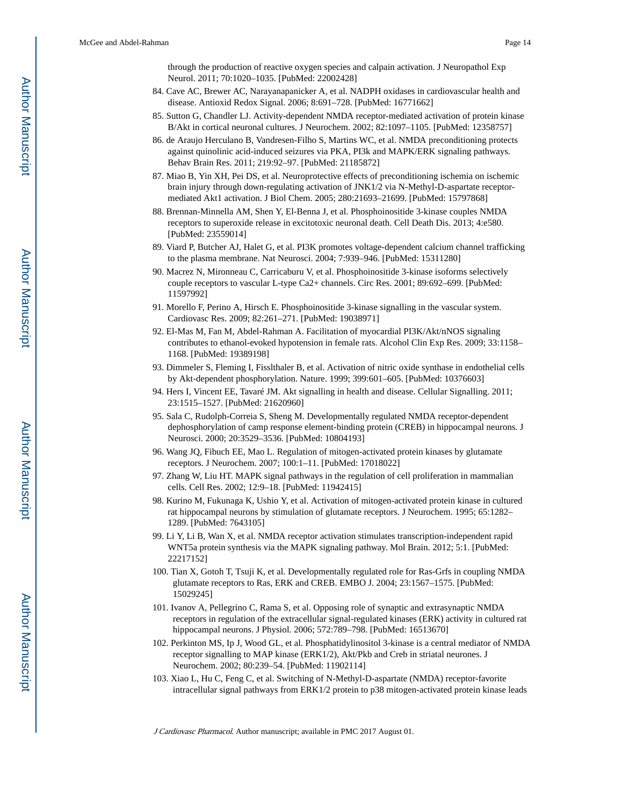through the production of reactive oxygen species and calpain activation. J Neuropathol Exp Neurol. 2011; 70:1020–1035. [PubMed: 22002428]

- 84. Cave AC, Brewer AC, Narayanapanicker A, et al. NADPH oxidases in cardiovascular health and disease. Antioxid Redox Signal. 2006; 8:691–728. [PubMed: 16771662]
- 85. Sutton G, Chandler LJ. Activity-dependent NMDA receptor-mediated activation of protein kinase B/Akt in cortical neuronal cultures. J Neurochem. 2002; 82:1097–1105. [PubMed: 12358757]
- 86. de Araujo Herculano B, Vandresen-Filho S, Martins WC, et al. NMDA preconditioning protects against quinolinic acid-induced seizures via PKA, PI3k and MAPK/ERK signaling pathways. Behav Brain Res. 2011; 219:92–97. [PubMed: 21185872]
- 87. Miao B, Yin XH, Pei DS, et al. Neuroprotective effects of preconditioning ischemia on ischemic brain injury through down-regulating activation of JNK1/2 via N-Methyl-D-aspartate receptormediated Akt1 activation. J Biol Chem. 2005; 280:21693–21699. [PubMed: 15797868]
- 88. Brennan-Minnella AM, Shen Y, El-Benna J, et al. Phosphoinositide 3-kinase couples NMDA receptors to superoxide release in excitotoxic neuronal death. Cell Death Dis. 2013; 4:e580. [PubMed: 23559014]
- 89. Viard P, Butcher AJ, Halet G, et al. PI3K promotes voltage-dependent calcium channel trafficking to the plasma membrane. Nat Neurosci. 2004; 7:939–946. [PubMed: 15311280]
- 90. Macrez N, Mironneau C, Carricaburu V, et al. Phosphoinositide 3-kinase isoforms selectively couple receptors to vascular L-type Ca2+ channels. Circ Res. 2001; 89:692–699. [PubMed: 11597992]
- 91. Morello F, Perino A, Hirsch E. Phosphoinositide 3-kinase signalling in the vascular system. Cardiovasc Res. 2009; 82:261–271. [PubMed: 19038971]
- 92. El-Mas M, Fan M, Abdel-Rahman A. Facilitation of myocardial PI3K/Akt/nNOS signaling contributes to ethanol-evoked hypotension in female rats. Alcohol Clin Exp Res. 2009; 33:1158– 1168. [PubMed: 19389198]
- 93. Dimmeler S, Fleming I, Fisslthaler B, et al. Activation of nitric oxide synthase in endothelial cells by Akt-dependent phosphorylation. Nature. 1999; 399:601–605. [PubMed: 10376603]
- 94. Hers I, Vincent EE, Tavaré JM. Akt signalling in health and disease. Cellular Signalling. 2011; 23:1515–1527. [PubMed: 21620960]
- 95. Sala C, Rudolph-Correia S, Sheng M. Developmentally regulated NMDA receptor-dependent dephosphorylation of camp response element-binding protein (CREB) in hippocampal neurons. J Neurosci. 2000; 20:3529–3536. [PubMed: 10804193]
- 96. Wang JQ, Fibuch EE, Mao L. Regulation of mitogen-activated protein kinases by glutamate receptors. J Neurochem. 2007; 100:1–11. [PubMed: 17018022]
- 97. Zhang W, Liu HT. MAPK signal pathways in the regulation of cell proliferation in mammalian cells. Cell Res. 2002; 12:9–18. [PubMed: 11942415]
- 98. Kurino M, Fukunaga K, Ushio Y, et al. Activation of mitogen-activated protein kinase in cultured rat hippocampal neurons by stimulation of glutamate receptors. J Neurochem. 1995; 65:1282– 1289. [PubMed: 7643105]
- 99. Li Y, Li B, Wan X, et al. NMDA receptor activation stimulates transcription-independent rapid WNT5a protein synthesis via the MAPK signaling pathway. Mol Brain. 2012; 5:1. [PubMed: 22217152]
- 100. Tian X, Gotoh T, Tsuji K, et al. Developmentally regulated role for Ras-Grfs in coupling NMDA glutamate receptors to Ras, ERK and CREB. EMBO J. 2004; 23:1567–1575. [PubMed: 15029245]
- 101. Ivanov A, Pellegrino C, Rama S, et al. Opposing role of synaptic and extrasynaptic NMDA receptors in regulation of the extracellular signal-regulated kinases (ERK) activity in cultured rat hippocampal neurons. J Physiol. 2006; 572:789–798. [PubMed: 16513670]
- 102. Perkinton MS, Ip J, Wood GL, et al. Phosphatidylinositol 3-kinase is a central mediator of NMDA receptor signalling to MAP kinase (ERK1/2), Akt/Pkb and Creb in striatal neurones. J Neurochem. 2002; 80:239–54. [PubMed: 11902114]
- 103. Xiao L, Hu C, Feng C, et al. Switching of N-Methyl-D-aspartate (NMDA) receptor-favorite intracellular signal pathways from ERK1/2 protein to p38 mitogen-activated protein kinase leads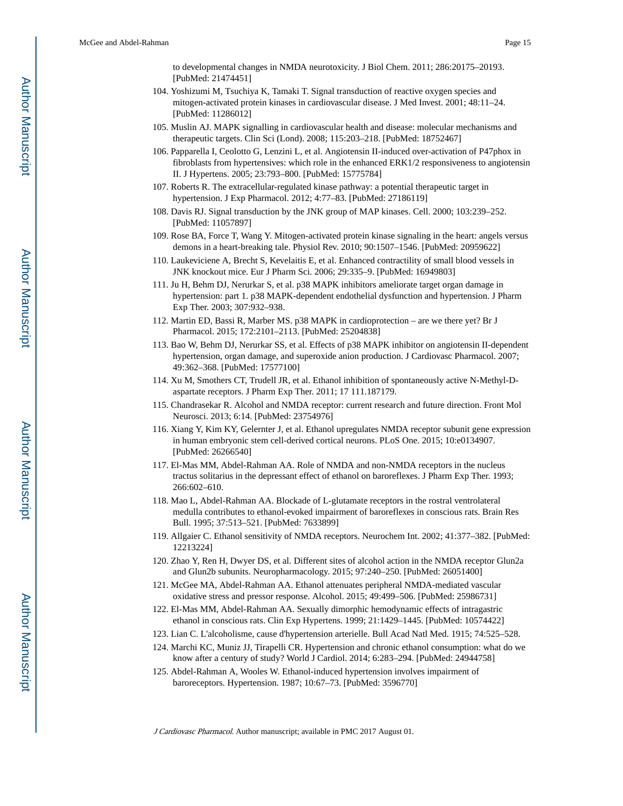to developmental changes in NMDA neurotoxicity. J Biol Chem. 2011; 286:20175–20193. [PubMed: 21474451]

- 104. Yoshizumi M, Tsuchiya K, Tamaki T. Signal transduction of reactive oxygen species and mitogen-activated protein kinases in cardiovascular disease. J Med Invest. 2001; 48:11–24. [PubMed: 11286012]
- 105. Muslin AJ. MAPK signalling in cardiovascular health and disease: molecular mechanisms and therapeutic targets. Clin Sci (Lond). 2008; 115:203–218. [PubMed: 18752467]
- 106. Papparella I, Ceolotto G, Lenzini L, et al. Angiotensin II-induced over-activation of P47phox in fibroblasts from hypertensives: which role in the enhanced ERK1/2 responsiveness to angiotensin II. J Hypertens. 2005; 23:793–800. [PubMed: 15775784]
- 107. Roberts R. The extracellular-regulated kinase pathway: a potential therapeutic target in hypertension. J Exp Pharmacol. 2012; 4:77–83. [PubMed: 27186119]
- 108. Davis RJ. Signal transduction by the JNK group of MAP kinases. Cell. 2000; 103:239–252. [PubMed: 11057897]
- 109. Rose BA, Force T, Wang Y. Mitogen-activated protein kinase signaling in the heart: angels versus demons in a heart-breaking tale. Physiol Rev. 2010; 90:1507–1546. [PubMed: 20959622]
- 110. Laukeviciene A, Brecht S, Kevelaitis E, et al. Enhanced contractility of small blood vessels in JNK knockout mice. Eur J Pharm Sci. 2006; 29:335–9. [PubMed: 16949803]
- 111. Ju H, Behm DJ, Nerurkar S, et al. p38 MAPK inhibitors ameliorate target organ damage in hypertension: part 1. p38 MAPK-dependent endothelial dysfunction and hypertension. J Pharm Exp Ther. 2003; 307:932–938.
- 112. Martin ED, Bassi R, Marber MS. p38 MAPK in cardioprotection are we there yet? Br J Pharmacol. 2015; 172:2101–2113. [PubMed: 25204838]
- 113. Bao W, Behm DJ, Nerurkar SS, et al. Effects of p38 MAPK inhibitor on angiotensin II-dependent hypertension, organ damage, and superoxide anion production. J Cardiovasc Pharmacol. 2007; 49:362–368. [PubMed: 17577100]
- 114. Xu M, Smothers CT, Trudell JR, et al. Ethanol inhibition of spontaneously active N-Methyl-Daspartate receptors. J Pharm Exp Ther. 2011; 17 111.187179.
- 115. Chandrasekar R. Alcohol and NMDA receptor: current research and future direction. Front Mol Neurosci. 2013; 6:14. [PubMed: 23754976]
- 116. Xiang Y, Kim KY, Gelernter J, et al. Ethanol upregulates NMDA receptor subunit gene expression in human embryonic stem cell-derived cortical neurons. PLoS One. 2015; 10:e0134907. [PubMed: 26266540]
- 117. El-Mas MM, Abdel-Rahman AA. Role of NMDA and non-NMDA receptors in the nucleus tractus solitarius in the depressant effect of ethanol on baroreflexes. J Pharm Exp Ther. 1993; 266:602–610.
- 118. Mao L, Abdel-Rahman AA. Blockade of L-glutamate receptors in the rostral ventrolateral medulla contributes to ethanol-evoked impairment of baroreflexes in conscious rats. Brain Res Bull. 1995; 37:513–521. [PubMed: 7633899]
- 119. Allgaier C. Ethanol sensitivity of NMDA receptors. Neurochem Int. 2002; 41:377–382. [PubMed: 12213224]
- 120. Zhao Y, Ren H, Dwyer DS, et al. Different sites of alcohol action in the NMDA receptor Glun2a and Glun2b subunits. Neuropharmacology. 2015; 97:240–250. [PubMed: 26051400]
- 121. McGee MA, Abdel-Rahman AA. Ethanol attenuates peripheral NMDA-mediated vascular oxidative stress and pressor response. Alcohol. 2015; 49:499–506. [PubMed: 25986731]
- 122. El-Mas MM, Abdel-Rahman AA. Sexually dimorphic hemodynamic effects of intragastric ethanol in conscious rats. Clin Exp Hypertens. 1999; 21:1429–1445. [PubMed: 10574422]
- 123. Lian C. L'alcoholisme, cause d'hypertension arterielle. Bull Acad Natl Med. 1915; 74:525–528.
- 124. Marchi KC, Muniz JJ, Tirapelli CR. Hypertension and chronic ethanol consumption: what do we know after a century of study? World J Cardiol. 2014; 6:283–294. [PubMed: 24944758]
- 125. Abdel-Rahman A, Wooles W. Ethanol-induced hypertension involves impairment of baroreceptors. Hypertension. 1987; 10:67–73. [PubMed: 3596770]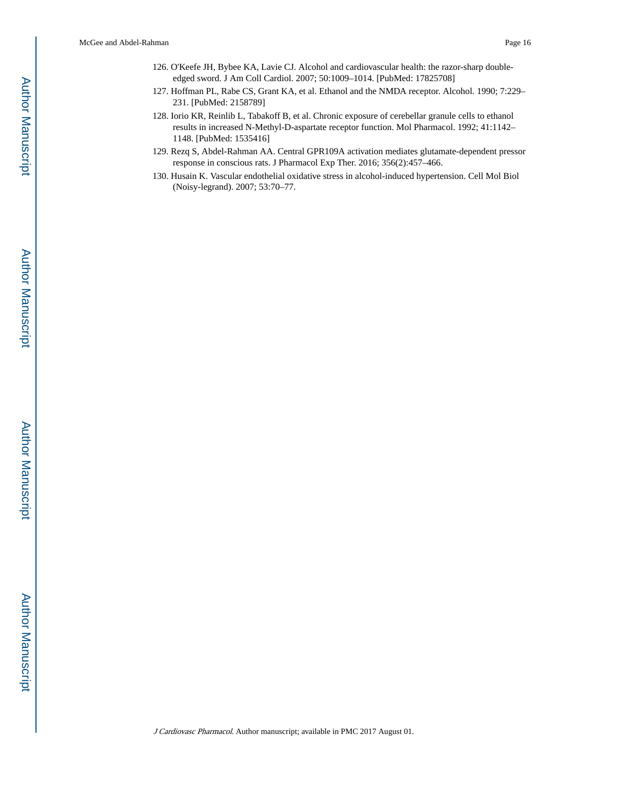- 126. O'Keefe JH, Bybee KA, Lavie CJ. Alcohol and cardiovascular health: the razor-sharp doubleedged sword. J Am Coll Cardiol. 2007; 50:1009–1014. [PubMed: 17825708]
- 127. Hoffman PL, Rabe CS, Grant KA, et al. Ethanol and the NMDA receptor. Alcohol. 1990; 7:229– 231. [PubMed: 2158789]
- 128. Iorio KR, Reinlib L, Tabakoff B, et al. Chronic exposure of cerebellar granule cells to ethanol results in increased N-Methyl-D-aspartate receptor function. Mol Pharmacol. 1992; 41:1142– 1148. [PubMed: 1535416]
- 129. Rezq S, Abdel-Rahman AA. Central GPR109A activation mediates glutamate-dependent pressor response in conscious rats. J Pharmacol Exp Ther. 2016; 356(2):457–466.
- 130. Husain K. Vascular endothelial oxidative stress in alcohol-induced hypertension. Cell Mol Biol (Noisy-legrand). 2007; 53:70–77.